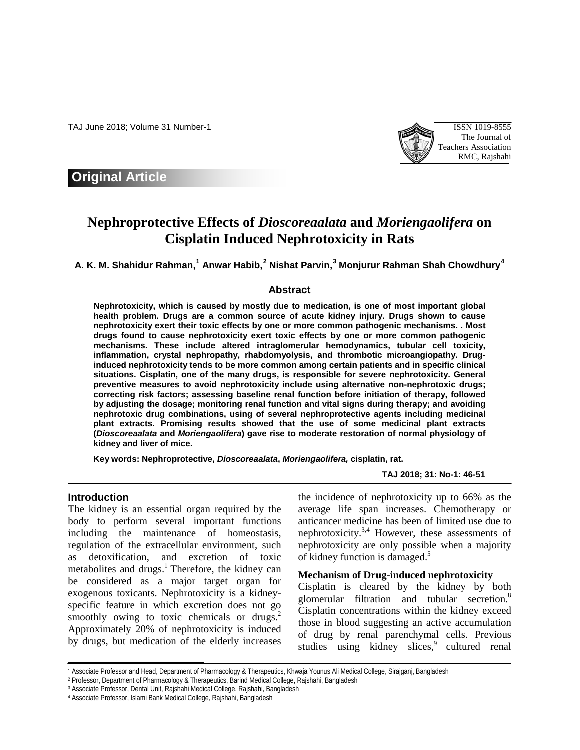TAJ June 2018; Volume 31 Number-1 ISSN 1019-8555



# **Original Article**

# **Nephroprotective Effects of** *Dioscoreaalata* **and** *Moriengaolifera* **on Cisplatin Induced Nephrotoxicity in Rats**

**A. K. M. Shahidur Rahman, [1](#page-0-0) Anwar Habib, [2](#page-0-1) Nishat Parvin, [3](#page-0-2) Monjurur Rahman Shah Chowdhury[4](#page-0-3)**

## **Abstract**

**Nephrotoxicity, which is caused by mostly due to medication, is one of most important global health problem. Drugs are a common source of acute kidney injury. Drugs shown to cause nephrotoxicity exert their toxic effects by one or more common pathogenic mechanisms. . Most drugs found to cause nephrotoxicity exert toxic effects by one or more common pathogenic mechanisms. These include altered intraglomerular hemodynamics, tubular cell toxicity, inflammation, crystal nephropathy, rhabdomyolysis, and thrombotic microangiopathy. Druginduced nephrotoxicity tends to be more common among certain patients and in specific clinical situations. Cisplatin, one of the many drugs, is responsible for severe nephrotoxicity. General preventive measures to avoid nephrotoxicity include using alternative non-nephrotoxic drugs; correcting risk factors; assessing baseline renal function before initiation of therapy, followed by adjusting the dosage; monitoring renal function and vital signs during therapy; and avoiding nephrotoxic drug combinations, using of several nephroprotective agents including medicinal plant extracts. Promising results showed that the use of some medicinal plant extracts (***Dioscoreaalata* **and** *Moriengaolifera***) gave rise to moderate restoration of normal physiology of kidney and liver of mice.**

**Key words: Nephroprotective,** *Dioscoreaalata***,** *Moriengaolifera,* **cisplatin, rat.**

## **TAJ 2018; 31: No-1: 46-51**

## **Introduction**

 $\overline{a}$ 

The kidney is an essential organ required by the body to perform several important functions including the maintenance of homeostasis, regulation of the extracellular environment, such as detoxification, and excretion of toxic metabolites and drugs.<sup>1</sup> Therefore, the kidney can be considered as a major target organ for exogenous toxicants. Nephrotoxicity is a kidneyspecific feature in which excretion does not go smoothly owing to toxic chemicals or drugs. $2^{\circ}$ Approximately 20% of nephrotoxicity is induced by drugs, but medication of the elderly increases

the incidence of nephrotoxicity up to 66% as the average life span increases. Chemotherapy or anticancer medicine has been of limited use due to nephrotoxicity. $3,4$  However, these assessments of nephrotoxicity are only possible when a majority of kidney function is damaged.<sup>5</sup>

## **Mechanism of Drug-induced nephrotoxicity**

Cisplatin is cleared by the kidney by both glomerular filtration and tubular secretion.<sup>8</sup> Cisplatin concentrations within the kidney exceed those in blood suggesting an active accumulation of drug by renal parenchymal cells. Previous studies using kidney slices,<sup>9</sup> cultured renal

<span id="page-0-1"></span><span id="page-0-0"></span><sup>1</sup> Associate Professor and Head, Department of Pharmacology & Therapeutics, Khwaja Younus Ali Medical College, Sirajganj, Bangladesh

<sup>2</sup> Professor, Department of Pharmacology & Therapeutics, Barind Medical College, Rajshahi, Bangladesh

<span id="page-0-2"></span><sup>3</sup> Associate Professor, Dental Unit, Rajshahi Medical College, Rajshahi, Bangladesh

<span id="page-0-3"></span><sup>4</sup> Associate Professor, Islami Bank Medical College, Rajshahi, Bangladesh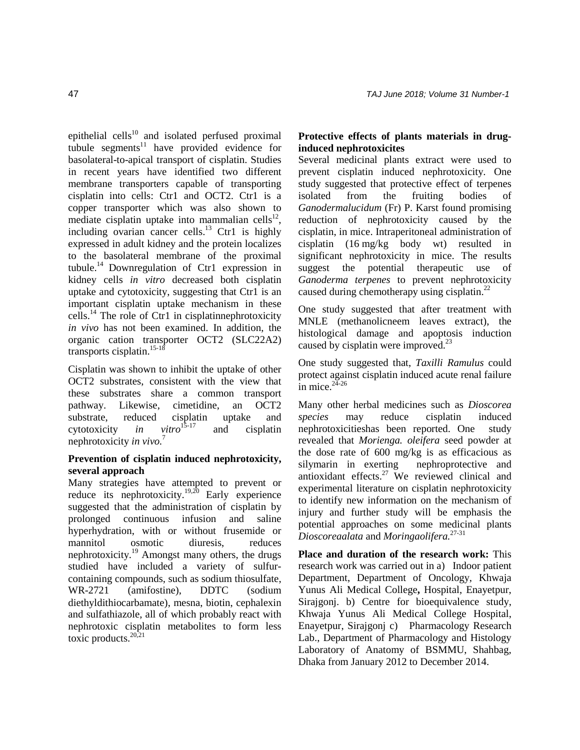epithelial cells $^{10}$  and isolated perfused proximal tubule segments $11$  have provided evidence for basolateral-to-apical transport of cisplatin. Studies in recent years have identified two different membrane transporters capable of transporting cisplatin into cells: Ctr1 and OCT2. Ctr1 is a copper transporter which was also shown to mediate cisplatin uptake into mammalian cells<sup>12</sup>, including ovarian cancer cells.<sup>13</sup> Ctr1 is highly expressed in adult kidney and the protein localizes to the basolateral membrane of the proximal tubule.14 Downregulation of Ctr1 expression in kidney cells *in vitro* decreased both cisplatin uptake and cytotoxicity, suggesting that Ctr1 is an important cisplatin uptake mechanism in these cells.<sup>14</sup> The role of Ctr1 in cisplatinnephrotoxicity *in vivo* has not been examined. In addition, the organic cation transporter OCT2 (SLC22A2) transports cisplatin.<sup>15-18</sup>

Cisplatin was shown to inhibit the uptake of other OCT2 substrates, consistent with the view that these substrates share a common transport pathway. Likewise, cimetidine, an OCT2 substrate, reduced cisplatin uptake and cytotoxicity *in vitro*<sup>15-17</sup> and cisplatin cytotoxicity *in vitro*15-17 and cisplatin nephrotoxicity *in vivo.*<sup>7</sup>

## **Prevention of cisplatin induced nephrotoxicity, several approach**

Many strategies have attempted to prevent or reduce its nephrotoxicity.<sup>19,20</sup> Early experience suggested that the administration of cisplatin by prolonged continuous infusion and saline hyperhydration, with or without frusemide or mannitol osmotic diuresis, reduces nephrotoxicity.19 Amongst many others, the drugs studied have included a variety of sulfurcontaining compounds, such as sodium thiosulfate, WR-2721 (amifostine), DDTC (sodium diethyldithiocarbamate), mesna, biotin, cephalexin and sulfathiazole, all of which probably react with nephrotoxic cisplatin metabolites to form less toxic products. $20,21$ 

## **Protective effects of plants materials in druginduced nephrotoxicites**

Several medicinal plants extract were used to prevent cisplatin induced nephrotoxicity. One study suggested that protective effect of terpenes isolated from the fruiting bodies of *Ganodermalucidum* (Fr) P. Karst found promising reduction of nephrotoxicity caused by the cisplatin, in mice. Intraperitoneal administration of cisplatin (16 mg/kg body wt) resulted in significant nephrotoxicity in mice. The results suggest the potential therapeutic use of *Ganoderma terpenes* to prevent nephrotoxicity caused during chemotherapy using cisplatin.22

One study suggested that after treatment with MNLE (methanolicneem leaves extract), the histological damage and apoptosis induction caused by cisplatin were improved. $^{23}$ 

One study suggested that, *Taxilli Ramulus* could protect against cisplatin induced acute renal failure in mice. $24 - 26$ 

Many other herbal medicines such as *Dioscorea species* may reduce cisplatin induced nephrotoxicitieshas been reported. One study revealed that *Morienga. oleifera* seed powder at the dose rate of 600 mg/kg is as efficacious as silymarin in exerting nephroprotective and antioxidant effects.27 We reviewed clinical and experimental literature on cisplatin nephrotoxicity to identify new information on the mechanism of injury and further study will be emphasis the potential approaches on some medicinal plants *Dioscoreaalata* and *Moringaolifera.*27-31

**Place and duration of the research work:** This research work was carried out in a) Indoor patient Department, Department of Oncology, Khwaja Yunus Ali Medical College**,** Hospital, Enayetpur, Sirajgonj. b) Centre for bioequivalence study, Khwaja Yunus Ali Medical College Hospital, Enayetpur, Sirajgonj c) Pharmacology Research Lab., Department of Pharmacology and Histology Laboratory of Anatomy of BSMMU, Shahbag, Dhaka from January 2012 to December 2014.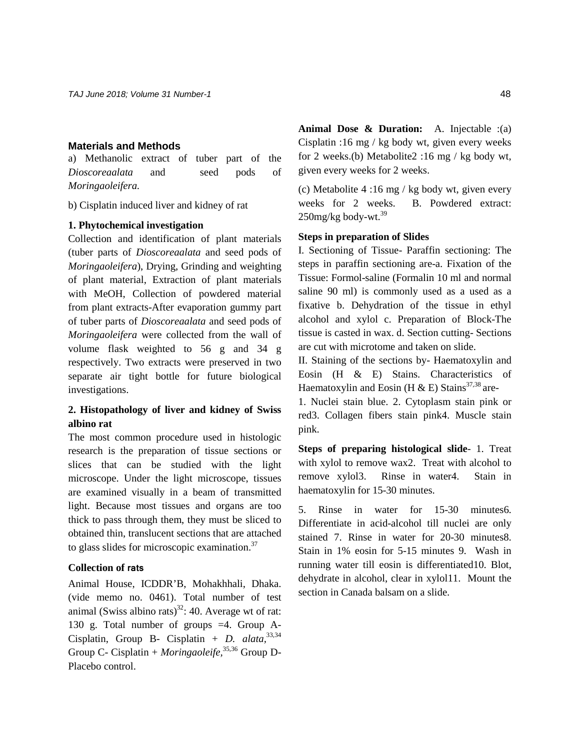## **Materials and Methods**

a) Methanolic extract of tuber part of the *Dioscoreaalata* and seed pods of *Moringaoleifera.*

b) Cisplatin induced liver and kidney of rat

#### **1. Phytochemical investigation**

Collection and identification of plant materials (tuber parts of *Dioscoreaalata* and seed pods of *Moringaoleifera*), Drying, Grinding and weighting of plant material, Extraction of plant materials with MeOH, Collection of powdered material from plant extracts-After evaporation gummy part of tuber parts of *Dioscoreaalata* and seed pods of *Moringaoleifera* were collected from the wall of volume flask weighted to 56 g and 34 g respectively. Two extracts were preserved in two separate air tight bottle for future biological investigations.

## **2. Histopathology of liver and kidney of Swiss albino rat**

The most common procedure used in histologic research is the preparation of tissue sections or slices that can be studied with the light microscope. Under the light microscope, tissues are examined visually in a beam of transmitted light. Because most tissues and organs are too thick to pass through them, they must be sliced to obtained thin, translucent sections that are attached to glass slides for microscopic examination.<sup>37</sup>

## **Collection of rats**

Animal House, ICDDR'B, Mohakhhali, Dhaka. (vide memo no. 0461). Total number of test animal (Swiss albino rats)<sup>32</sup>: 40. Average wt of rat: 130 g. Total number of groups =4. Group A-Cisplatin, Group B- Cisplatin + *D. alata,* 33,34 Group C- Cisplatin + *Moringaoleife,* 35,36 Group D-Placebo control.

**Animal Dose & Duration:** A. Injectable :(a) Cisplatin :16 mg / kg body wt, given every weeks for 2 weeks.(b) Metabolite2 :16 mg / kg body wt, given every weeks for 2 weeks.

(c) Metabolite 4 :16 mg / kg body wt, given every weeks for 2 weeks. B. Powdered extract:  $250$ mg/kg body-wt. $^{39}$ 

### **Steps in preparation of Slides**

I. Sectioning of Tissue- Paraffin sectioning: The steps in paraffin sectioning are-a. Fixation of the Tissue: Formol-saline (Formalin 10 ml and normal saline 90 ml) is commonly used as a used as a fixative b. Dehydration of the tissue in ethyl alcohol and xylol c. Preparation of Block-The tissue is casted in wax. d. Section cutting- Sections are cut with microtome and taken on slide.

II. Staining of the sections by- Haematoxylin and Eosin (H & E) Stains. Characteristics of Haematoxylin and Eosin (H & E) Stains<sup>37,38</sup> are-

1. Nuclei stain blue. 2. Cytoplasm stain pink or red3. Collagen fibers stain pink4. Muscle stain pink.

**Steps of preparing histological slide**- 1. Treat with xylol to remove wax2. Treat with alcohol to remove xylol3. Rinse in water4. Stain in haematoxylin for 15-30 minutes.

5. Rinse in water for 15-30 minutes6. Differentiate in acid-alcohol till nuclei are only stained 7. Rinse in water for 20-30 minutes8. Stain in 1% eosin for 5-15 minutes 9. Wash in running water till eosin is differentiated10. Blot, dehydrate in alcohol, clear in xylol11. Mount the section in Canada balsam on a slide.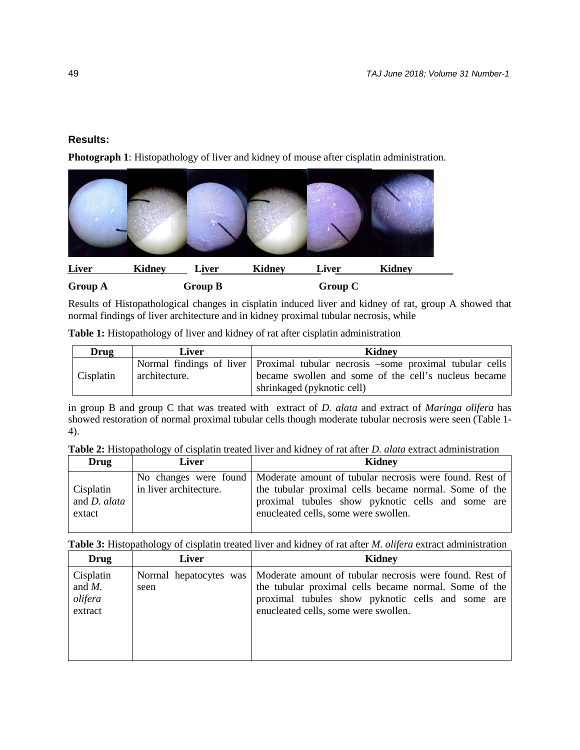## **Results:**

**Photograph 1**: Histopathology of liver and kidney of mouse after cisplatin administration.



## **Group A** Group B Group C

Results of Histopathological changes in cisplatin induced liver and kidney of rat, group A showed that normal findings of liver architecture and in kidney proximal tubular necrosis, while

**Table 1:** Histopathology of liver and kidney of rat after cisplatin administration

| <b>Drug</b> | Liver         | Kidney                                                                          |
|-------------|---------------|---------------------------------------------------------------------------------|
| Cisplatin   |               | Normal findings of liver Proximal tubular necrosis -some proximal tubular cells |
|             | architecture. | became swollen and some of the cell's nucleus became                            |
|             |               | shrinkaged (pyknotic cell)                                                      |

in group B and group C that was treated with extract of *D. alata* and extract of *Maringa olifera* has showed restoration of normal proximal tubular cells though moderate tubular necrosis were seen (Table 1- 4).

|  |  |  |  |  |  |  |  |  | Table 2: Histopathology of cisplatin treated liver and kidney of rat after <i>D. alata</i> extract administration |
|--|--|--|--|--|--|--|--|--|-------------------------------------------------------------------------------------------------------------------|
|--|--|--|--|--|--|--|--|--|-------------------------------------------------------------------------------------------------------------------|

| Drug                                       | Liver                  | <b>Kidney</b>                                                                                                                                                                                                                         |
|--------------------------------------------|------------------------|---------------------------------------------------------------------------------------------------------------------------------------------------------------------------------------------------------------------------------------|
| Cisplatin<br>and <i>D. alata</i><br>extact | in liver architecture. | No changes were found   Moderate amount of tubular necrosis were found. Rest of<br>the tubular proximal cells became normal. Some of the<br>proximal tubules show pyknotic cells and some are<br>enucleated cells, some were swollen. |

**Table 3:** Histopathology of cisplatin treated liver and kidney of rat after *M. olifera* extract administration

| Drug                                         | Liver | <b>Kidney</b>                                                                                                                                                                                                                          |
|----------------------------------------------|-------|----------------------------------------------------------------------------------------------------------------------------------------------------------------------------------------------------------------------------------------|
| Cisplatin<br>and $M$ .<br>olifera<br>extract | seen  | Normal hepatocytes was   Moderate amount of tubular necrosis were found. Rest of<br>the tubular proximal cells became normal. Some of the<br>proximal tubules show pyknotic cells and some are<br>enucleated cells, some were swollen. |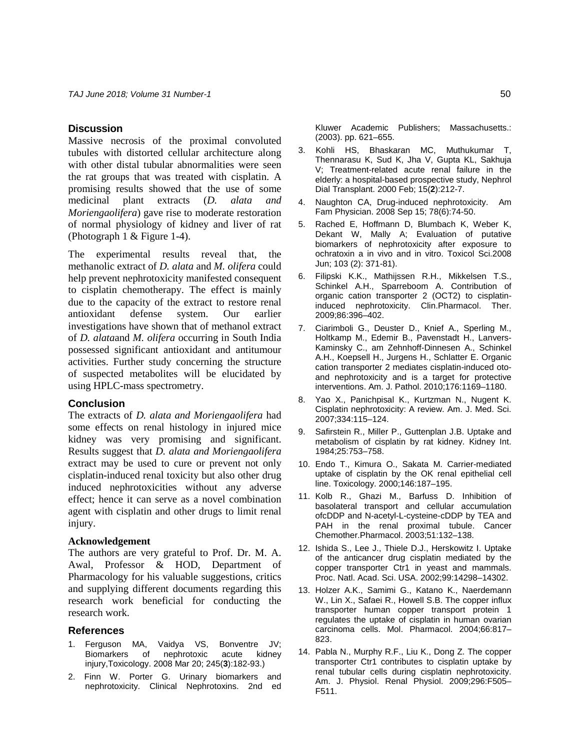### **Discussion**

Massive necrosis of the proximal convoluted tubules with distorted cellular architecture along with other distal tubular abnormalities were seen the rat groups that was treated with cisplatin. A promising results showed that the use of some medicinal plant extracts (*D. alata and Moriengaolifera*) gave rise to moderate restoration of normal physiology of kidney and liver of rat (Photograph 1 & Figure 1-4).

The experimental results reveal that, the methanolic extract of *D. alata* and *M. olifera* could help prevent nephrotoxicity manifested consequent to cisplatin chemotherapy. The effect is mainly due to the capacity of the extract to restore renal antioxidant defense system. Our earlier investigations have shown that of methanol extract of *D. alata*and *M. olifera* occurring in South India possessed significant antioxidant and antitumour activities. Further study concerning the structure of suspected metabolites will be elucidated by using HPLC-mass spectrometry.

### **Conclusion**

The extracts of *D. alata and Moriengaolifera* had some effects on renal histology in injured mice kidney was very promising and significant. Results suggest that *D. alata and Moriengaolifera* extract may be used to cure or prevent not only cisplatin-induced renal toxicity but also other drug induced nephrotoxicities without any adverse effect; hence it can serve as a novel combination agent with cisplatin and other drugs to limit renal injury.

#### **Acknowledgement**

The authors are very grateful to Prof. Dr. M. A. Awal, Professor & HOD, Department of Pharmacology for his valuable suggestions, critics and supplying different documents regarding this research work beneficial for conducting the research work.

#### **References**

- Ferguson MA, Vaidya VS, Bonventre JV; Biomarkers of nephrotoxic acute kidney injury,Toxicology. 2008 Mar 20; 245(**3**):182-93.)
- 2. Finn W. Porter G. Urinary biomarkers and nephrotoxicity. Clinical Nephrotoxins. 2nd ed

Kluwer Academic Publishers; Massachusetts.: (2003). pp. 621–655.

- 3. Kohli HS, Bhaskaran MC, Muthukumar T, Thennarasu K, Sud K, Jha V, Gupta KL, Sakhuja V; Treatment-related acute renal failure in the elderly: a hospital-based prospective study, Nephrol Dial Transplant. 2000 Feb; 15(**2**):212-7.
- 4. Naughton CA, Drug-induced nephrotoxicity. Am Fam Physician. 2008 Sep 15; 78(6):74-50.
- 5. Rached E, Hoffmann D, Blumbach K, Weber K, Dekant W, Mally A; Evaluation of putative biomarkers of nephrotoxicity after exposure to ochratoxin a in vivo and in vitro. Toxicol Sci.2008 Jun; 103 (2): 371-81).
- 6. Filipski K.K., Mathijssen R.H., Mikkelsen T.S., Schinkel A.H., Sparreboom A. Contribution of organic cation transporter 2 (OCT2) to cisplatininduced nephrotoxicity. Clin.Pharmacol. Ther. 2009;86:396–402.
- 7. Ciarimboli G., Deuster D., Knief A., Sperling M., Holtkamp M., Edemir B., Pavenstadt H., Lanvers-Kaminsky C., am Zehnhoff-Dinnesen A., Schinkel A.H., Koepsell H., Jurgens H., Schlatter E. Organic cation transporter 2 mediates cisplatin-induced otoand nephrotoxicity and is a target for protective interventions. Am. J. Pathol. 2010;176:1169–1180.
- 8. Yao X., Panichpisal K., Kurtzman N., Nugent K. Cisplatin nephrotoxicity: A review. Am. J. Med. Sci. 2007;334:115–124.
- 9. Safirstein R., Miller P., Guttenplan J.B. Uptake and metabolism of cisplatin by rat kidney. Kidney Int. 1984;25:753–758.
- 10. Endo T., Kimura O., Sakata M. Carrier-mediated uptake of cisplatin by the OK renal epithelial cell line. Toxicology. 2000;146:187–195.
- 11. Kolb R., Ghazi M., Barfuss D. Inhibition of basolateral transport and cellular accumulation ofcDDP and N-acetyl-L-cysteine-cDDP by TEA and PAH in the renal proximal tubule. Cancer Chemother.Pharmacol. 2003;51:132–138.
- 12. Ishida S., Lee J., Thiele D.J., Herskowitz I. Uptake of the anticancer drug cisplatin mediated by the copper transporter Ctr1 in yeast and mammals. Proc. Natl. Acad. Sci. USA. 2002;99:14298–14302.
- 13. Holzer A.K., Samimi G., Katano K., Naerdemann W., Lin X., Safaei R., Howell S.B. The copper influx transporter human copper transport protein 1 regulates the uptake of cisplatin in human ovarian carcinoma cells. Mol. Pharmacol. 2004;66:817– 823.
- 14. Pabla N., Murphy R.F., Liu K., Dong Z. The copper transporter Ctr1 contributes to cisplatin uptake by renal tubular cells during cisplatin nephrotoxicity. Am. J. Physiol. Renal Physiol. 2009;296:F505– F511.